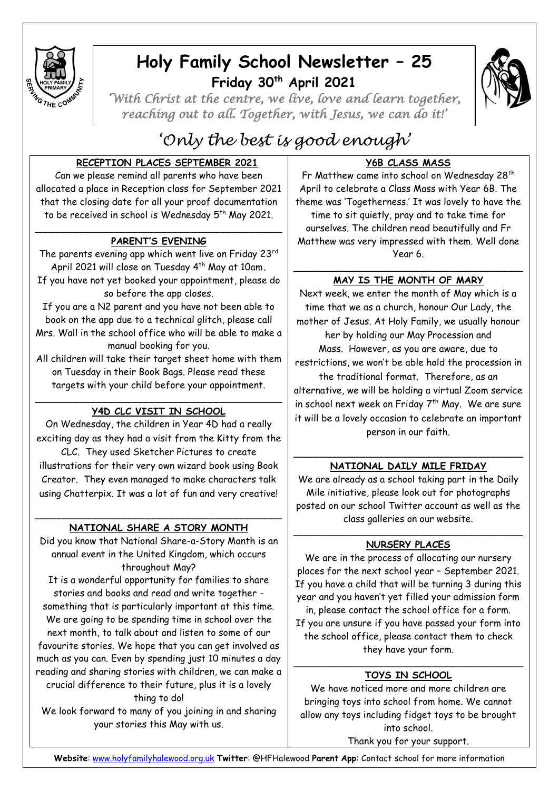

## **Holy Family School Newsletter – 25 Friday 30th April 2021**



*'With Christ at the centre, we live, love and learn together, reaching out to all. Together, with Jesus, we can do it!'* 

# *'Only the best is good enough'*

### **RECEPTION PLACES SEPTEMBER 2021**

Can we please remind all parents who have been allocated a place in Reception class for September 2021 that the closing date for all your proof documentation to be received in school is Wednesday 5<sup>th</sup> May 2021.

#### \_\_\_\_\_\_\_\_\_\_\_\_\_\_\_\_\_\_\_\_\_\_\_\_\_\_\_\_\_\_\_\_\_\_\_\_\_\_\_\_\_\_ **PARENT'S EVENING**

The parents evening app which went live on Friday 23rd April 2021 will close on Tuesday 4 th May at 10am**.** If you have not yet booked your appointment, please do so before the app closes.

If you are a N2 parent and you have not been able to book on the app due to a technical glitch, please call Mrs. Wall in the school office who will be able to make a manual booking for you.

All children will take their target sheet home with them on Tuesday in their Book Bags. Please read these targets with your child before your appointment.

#### \_\_\_\_\_\_\_\_\_\_\_\_\_\_\_\_\_\_\_\_\_\_\_\_\_\_\_\_\_\_\_\_\_\_\_\_\_\_\_\_\_\_ **Y4D CLC VISIT IN SCHOOL**

On Wednesday, the children in Year 4D had a really exciting day as they had a visit from the Kitty from the

CLC. They used Sketcher Pictures to create illustrations for their very own wizard book using Book Creator. They even managed to make characters talk using Chatterpix. It was a lot of fun and very creative!

#### \_\_\_\_\_\_\_\_\_\_\_\_\_\_\_\_\_\_\_\_\_\_\_\_\_\_\_\_\_\_\_\_\_\_\_\_\_\_\_\_\_\_ **NATIONAL SHARE A STORY MONTH**

Did you know that National Share-a-Story Month is an annual event in the United Kingdom, which occurs throughout May?

It is a wonderful opportunity for families to share stories and books and read and write together something that is particularly important at this time. We are going to be spending time in school over the next month, to talk about and listen to some of our favourite stories. We hope that you can get involved as much as you can. Even by spending just 10 minutes a day reading and sharing stories with children, we can make a crucial difference to their future, plus it is a lovely thing to do!

We look forward to many of you joining in and sharing your stories this May with us.

## **Y6B CLASS MASS**

Fr Matthew came into school on Wednesday 28<sup>th</sup> April to celebrate a Class Mass with Year 6B. The theme was 'Togetherness.' It was lovely to have the time to sit quietly, pray and to take time for ourselves. The children read beautifully and Fr Matthew was very impressed with them. Well done Year 6.

#### \_\_\_\_\_\_\_\_\_\_\_\_\_\_\_\_\_\_\_\_\_\_\_\_\_\_\_\_\_\_\_\_\_\_\_\_\_\_\_ **MAY IS THE MONTH OF MARY**

Next week, we enter the month of May which is a time that we as a church, honour Our Lady, the mother of Jesus. At Holy Family, we usually honour her by holding our May Procession and Mass. However, as you are aware, due to restrictions, we won't be able hold the procession in the traditional format. Therefore, as an alternative, we will be holding a virtual Zoom service in school next week on Friday  $7<sup>th</sup>$  May. We are sure it will be a lovely occasion to celebrate an important person in our faith.

#### \_\_\_\_\_\_\_\_\_\_\_\_\_\_\_\_\_\_\_\_\_\_\_\_\_\_\_\_\_\_\_\_\_\_\_\_\_\_\_ **NATIONAL DAILY MILE FRIDAY**

We are already as a school taking part in the Daily Mile initiative, please look out for photographs posted on our school Twitter account as well as the class galleries on our website.

#### \_\_\_\_\_\_\_\_\_\_\_\_\_\_\_\_\_\_\_\_\_\_\_\_\_\_\_\_\_\_\_\_\_\_\_\_\_\_\_ **NURSERY PLACES**

We are in the process of allocating our nursery places for the next school year – September 2021. If you have a child that will be turning 3 during this year and you haven't yet filled your admission form in, please contact the school office for a form. If you are unsure if you have passed your form into the school office, please contact them to check they have your form.

#### \_\_\_\_\_\_\_\_\_\_\_\_\_\_\_\_\_\_\_\_\_\_\_\_\_\_\_\_\_\_\_\_\_\_\_\_\_\_\_ **TOYS IN SCHOOL**

We have noticed more and more children are bringing toys into school from home. We cannot allow any toys including fidget toys to be brought into school.

Thank you for your support.